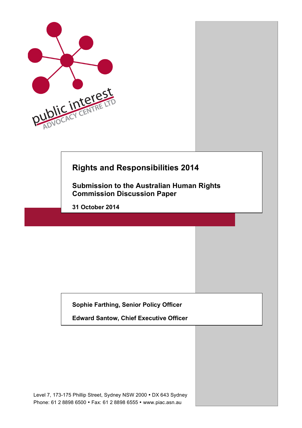

# **Rights and Responsibilities 2014**

**Submission to the Australian Human Rights Commission Discussion Paper** 

**31 October 2014**

**Sophie Farthing, Senior Policy Officer**

**Edward Santow, Chief Executive Officer**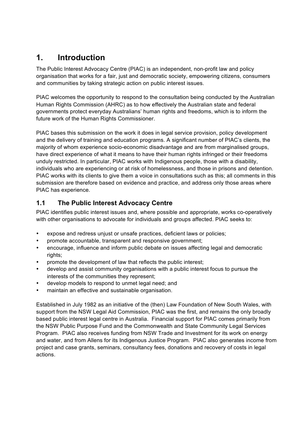## **1. Introduction**

The Public Interest Advocacy Centre (PIAC) is an independent, non-profit law and policy organisation that works for a fair, just and democratic society, empowering citizens, consumers and communities by taking strategic action on public interest issues.

PIAC welcomes the opportunity to respond to the consultation being conducted by the Australian Human Rights Commission (AHRC) as to how effectively the Australian state and federal governments protect everyday Australians' human rights and freedoms, which is to inform the future work of the Human Rights Commissioner.

PIAC bases this submission on the work it does in legal service provision, policy development and the delivery of training and education programs. A significant number of PIAC's clients, the majority of whom experience socio-economic disadvantage and are from marginalised groups, have direct experience of what it means to have their human rights infringed or their freedoms unduly restricted. In particular, PIAC works with Indigenous people, those with a disability, individuals who are experiencing or at risk of homelessness, and those in prisons and detention. PIAC works with its clients to give them a voice in consultations such as this; all comments in this submission are therefore based on evidence and practice, and address only those areas where PIAC has experience.

### **1.1 The Public Interest Advocacy Centre**

PIAC identifies public interest issues and, where possible and appropriate, works co-operatively with other organisations to advocate for individuals and groups affected. PIAC seeks to:

- expose and redress unjust or unsafe practices, deficient laws or policies;
- promote accountable, transparent and responsive government;
- encourage, influence and inform public debate on issues affecting legal and democratic rights:
- promote the development of law that reflects the public interest;
- develop and assist community organisations with a public interest focus to pursue the interests of the communities they represent;
- develop models to respond to unmet legal need; and
- maintain an effective and sustainable organisation.

Established in July 1982 as an initiative of the (then) Law Foundation of New South Wales, with support from the NSW Legal Aid Commission, PIAC was the first, and remains the only broadly based public interest legal centre in Australia. Financial support for PIAC comes primarily from the NSW Public Purpose Fund and the Commonwealth and State Community Legal Services Program. PIAC also receives funding from NSW Trade and Investment for its work on energy and water, and from Allens for its Indigenous Justice Program. PIAC also generates income from project and case grants, seminars, consultancy fees, donations and recovery of costs in legal actions.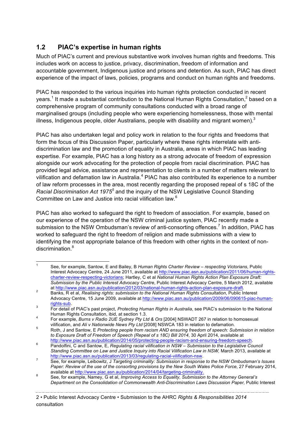## **1.2 PIAC's expertise in human rights**

Much of PIAC's current and previous substantive work involves human rights and freedoms. This includes work on access to justice, privacy, discrimination, freedom of information and accountable government, Indigenous justice and prisons and detention. As such, PIAC has direct experience of the impact of laws, policies, programs and conduct on human rights and freedoms.

PIAC has responded to the various inquiries into human rights protection conducted in recent years.<sup>1</sup> It made a substantial contribution to the National Human Rights Consultation,<sup>2</sup> based on a comprehensive program of community consultations conducted with a broad range of marginalised groups (including people who were experiencing homelessness, those with mental illness, Indigenous people, older Australians, people with disability and migrant women). $^3$ 

PIAC has also undertaken legal and policy work in relation to the four rights and freedoms that form the focus of this Discussion Paper, particularly where these rights interrelate with antidiscrimination law and the promotion of equality in Australia, areas in which PIAC has leading expertise. For example, PIAC has a long history as a strong advocate of freedom of expression alongside our work advocating for the protection of people from racial discrimination. PIAC has provided legal advice, assistance and representation to clients in a number of matters relevant to vilification and defamation law in Australia.<sup>4</sup> PIAC has also contributed its experience to a number of law reform processes in the area, most recently regarding the proposed repeal of s 18C of the *Racial Discrimination Act 1975<sup>5</sup>* and the inquiry of the NSW Legislative Council Standing Committee on Law and Justice into racial vilification law.<sup>6</sup>

PIAC has also worked to safeguard the right to freedom of association. For example, based on our experience of the operation of the NSW criminal justice system, PIAC recently made a submission to the NSW Ombudsman's review of anti-consorting offences.<sup>7</sup> In addition, PIAC has worked to safeguard the right to freedom of religion and made submissions with a view to identifying the most appropriate balance of this freedom with other rights in the context of nondiscrimination  $8$ 

 <sup>1</sup> See, for example, Santow, E and Bailey, B *Human Rights Charter Review – respecting Victorians*, Public Interest Advocacy Centre, 24 June 2011, available at http://www.piac.asn.au/publication/2011/06/human-rightscharter-review-respecting-victorians; Hartley, C et al *National Human Rights Action Plan Exposure Draft: Submission by the Public Interest Advocacy Centre*, Public Interest Advocacy Centre, 5 March 2012, available at http://www.piac.asn.au/publication/2012/03/national-human-rights-action-plan-exposure-draft.

at http://www.piac.asn.au/publication/2012/03/national-human-rights-action-plan-exposure-draft. 2 Banks, R et al, *Realising rights: submission to the National Human Rights Consultation*, Public Interest Advocacy Centre, 15 June 2009, available at http://www.piac.asn.au/publication/2009/06/090615-piac-human-

rights-sub. 3 For detail of PIAC's past project, *Protecting Human Rights in Australia*, see PIAC's submission to the National

Human Rights Consultation, isit, at section 1.5.<br>For example, *Burns v Radio 2UE Sydney Pty Ltd & Ors* [2004] NSWADT 267 in relation to homosexual vilification, and *Ali v Nationwide News Pty Ltd* [2008] NSWCA 183 in relat

vilification, and *Ali v Nationwide News Pty Ltd* [2008] NSWCA 183 in relation to defamation. <sup>5</sup> Roth, J and Santow, E *Protecting people from racism AND ensuring freedom of speech: Submission in relation to Exposure Draft of Freedom of Speech (Repeal of s 18C) Bill 2014*, 30 April 2014, available at

http://www.piac.asn.au/publication/2014/05/protecting-people-racism-and-ensuring-freedom-speech. 6 Pandolfini, C and Santow, E, *Regulating racial vilification in NSW – Submission to the Legislative Council Standing Committee on Law and Justice Inquiry into Racial Vilification Law in NSW,* March 2013, available at

http://www.piac.asn.au/publication/2013/03/regulating-racial-vilification-nsw. <sup>7</sup> See, for example, Leibowitz, J *Targeting criminality: Submission in response to the NSW Ombudsman's Issues Paper: Review of the use of the consorting provisions by the New South Wales Police Force*, 27 February 2014,

available at <u>Inter/www.piac.asn.au/publication/2014/04/targeting-criminality.</u><br><sup>8</sup> See, for example, Namey, G et al, *Improving Access to Equality, Submission to the Attorney General's Department on the Consolidation of Commonwealth Anti-Discrimination Laws Discussion Paper, Public Interest* 

<sup>2</sup> • Public Interest Advocacy Centre • Submission to the AHRC *Rights & Responsibilities 2014* consultation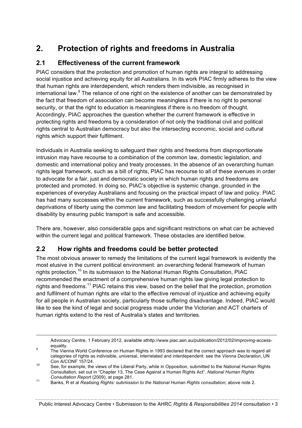# **2. Protection of rights and freedoms in Australia**

#### **2.1 Effectiveness of the current framework**

PIAC considers that the protection and promotion of human rights are integral to addressing social injustice and achieving equity for all Australians. In its work PIAC firmly adheres to the view that human rights are interdependent, which renders them indivisible, as recognised in international law. $9$  The reliance of one right on the existence of another can be demonstrated by the fact that freedom of association can become meaningless if there is no right to personal security, or that the right to education is meaningless if there is no freedom of thought. Accordingly, PIAC approaches the question whether the current framework is effective in protecting rights and freedoms by a consideration of not only the traditional civil and political rights central to Australian democracy but also the intersecting economic, social and cultural rights which support their fulfilment.

Individuals in Australia seeking to safeguard their rights and freedoms from disproportionate intrusion may have recourse to a combination of the common law, domestic legislation, and domestic and international policy and treaty processes. In the absence of an overarching human rights legal framework, such as a bill of rights, PIAC has recourse to all of these avenues in order to advocate for a fair, just and democratic society in which human rights and freedoms are protected and promoted. In doing so, PIAC's objective is systemic change, grounded in the experiences of everyday Australians and focusing on the practical impact of law and policy. PIAC has had many successes within the current framework, such as successfully challenging unlawful deprivations of liberty using the common law and facilitating freedom of movement for people with disability by ensuring public transport is safe and accessible.

There are, however, also considerable gaps and significant restrictions on what can be achieved within the current legal and political framework. These obstacles are identified below.

#### **2.2 How rights and freedoms could be better protected**

The most obvious answer to remedy the limitations of the current legal framework is evidently the most elusive in the current political environment: an overarching federal framework of human rights protection.<sup>10</sup> In its submission to the National Human Rights Consultation, PIAC recommended the enactment of a comprehensive human rights law giving legal protection to rights and freedoms.<sup>11</sup> PIAC retains this view, based on the belief that the protection, promotion and fulfilment of human rights are vital to the effective removal of injustice and achieving equity for all people in Australian society, particularly those suffering disadvantage. Indeed, PIAC would like to see the kind of legal and social progress made under the Victorian and ACT charters of human rights extend to the rest of Australia's states and territories.

Advocacy Centre, 1 February 2012, available athttp://www.piac.asn.au/publication/2012/02/improving-access-

equality.<br>The Vienna World Conference on Human Rights in 1993 declared that the correct approach was to regard all categories of rights as indivisible, universal, interrelated and interdependent: see the *Vienna Declaration*, UN

 $\frac{10}{10}$  See, for example, the views of the Liberal Party, while in Opposition, submitted to the National Human Rights Consultation, set out in "Chapter 13, The Case Against a Human Rights Act"*, National Human Rights* 

*Consultation Report* (2009), at page 281. 11 Banks, R et al *Realising Rights: submission to the National Human Rights consultation*; above note 2.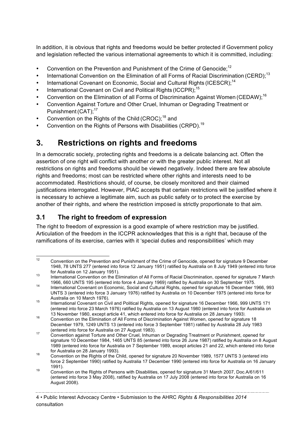In addition, it is obvious that rights and freedoms would be better protected if Government policy and legislation reflected the various international agreements to which it is committed, including:

- Convention on the Prevention and Punishment of the Crime of Genocide;<sup>12</sup>
- International Convention on the Elimination of all Forms of Racial Discrimination (CERD);<sup>13</sup>
- International Covenant on Economic, Social and Cultural Rights (ICESCR);<sup>14</sup>
- International Covenant on Civil and Political Rights (ICCPR):<sup>15</sup>
- Convention on the Elimination of all Forms of Discrimination Against Women (CEDAW);<sup>16</sup>
- Convention Against Torture and Other Cruel, Inhuman or Degrading Treatment or Punishment (CAT):<sup>17</sup>
- Convention on the Rights of the Child (CROC):<sup>18</sup> and
- Convention on the Rights of Persons with Disabilities (CRPD).<sup>19</sup>

## **3. Restrictions on rights and freedoms**

In a democratic society, protecting rights and freedoms is a delicate balancing act. Often the assertion of one right will conflict with another or with the greater public interest. Not all restrictions on rights and freedoms should be viewed negatively. Indeed there are few absolute rights and freedoms; most can be restricted where other rights and interests need to be accommodated. Restrictions should, of course, be closely monitored and their claimed justifications interrogated. However, PIAC accepts that certain restrictions will be justified where it is necessary to achieve a legitimate aim, such as public safety or to protect the exercise by another of their rights, and where the restriction imposed is strictly proportionate to that aim.

## **3.1 The right to freedom of expression**

The right to freedom of expression is a good example of where restriction may be justified. Articulation of the freedom in the ICCPR acknowledges that this is a right that, because of the ramifications of its exercise, carries with it 'special duties and responsibilities' which may

<sup>&</sup>lt;sup>12</sup> Convention on the Prevention and Punishment of the Crime of Genocide, opened for signature 9 December 1948, 78 UNTS 277 (entered into force 12 January 1951) ratified by Australia on 8 July 1949 (entered into force for Australia on 12 January 1951).<br><sup>13</sup> International Convention on the Elimination of All Forms of Racial Discrimination, opened for signature 7 March

<sup>1966, 660</sup> UNTS 195 (entered into force 4 January 1969) ratified by Australia on 30 September 1975.<br><sup>14</sup> International Covenant on Economic, Social and Cultural Rights, opened for signature 16 December 1966, 993

UNTS 3 (entered into force 3 January 1976) ratified by Australia on 10 December 1975 (entered into force for

Australia on 10 March 1976).<br><sup>15</sup> International Covenant on Civil and Political Rights, opened for signature 16 December 1966, 999 UNTS 171 (entered into force 23 March 1976) ratified by Australia on 13 August 1980 (entered into force for Australia on

<sup>16</sup> Convention on the Elimination of All Forms of Discrimination Against Women, opened for signature 18 December 1979, 1249 UNTS 13 (entered into force 3 September 1981) ratified by Australia 28 July 1983

<sup>(</sup>entered into force for Australia on 27 August 1983).<br><sup>17</sup> Convention against Torture and Other Cruel, Inhuman or Degrading Treatment or Punishment, opened for signature 10 December 1984, 1465 UNTS 85 (entered into force 26 June 1987) ratified by Australia on 8 August 1989 (entered into force for Australia on 7 September 1989, except articles 21 and 22, which entered into force

for Australia on 28 January 1993).<br><sup>18</sup> Convention on the Rights of the Child, opened for signature 20 November 1989, 1577 UNTS 3 (entered into force 2 September 1990) ratified by Australia 17 December 1990 (entered into force for Australia on 16 January 1991).<br><sup>19</sup> Convention on the Rights of Persons with Disabilities, opened for signature 31 March 2007, Doc.A/61/611

<sup>(</sup>entered into force 3 May 2008), ratified by Australia on 17 July 2008 (entered into force for Australia on 16 August 2008).

<sup>4</sup> • Public Interest Advocacy Centre • Submission to the AHRC *Rights & Responsibilities 2014* consultation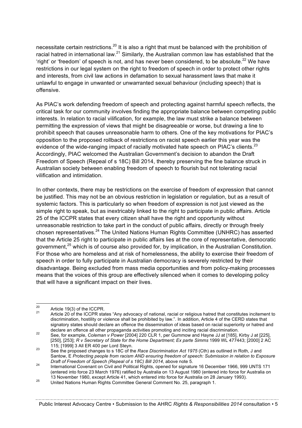necessitate certain restrictions.<sup>20</sup> It is also a right that must be balanced with the prohibition of racial hatred in international law.<sup>21</sup> Similarly, the Australian common law has established that the 'right' or 'freedom' of speech is not, and has never been considered, to be absolute.<sup>22</sup> We have restrictions in our legal system on the right to freedom of speech in order to protect other rights and interests, from civil law actions in defamation to sexual harassment laws that make it unlawful to engage in unwanted or unwarranted sexual behaviour (including speech) that is offensive.

As PIAC's work defending freedom of speech and protecting against harmful speech reflects, the critical task for our community involves finding the appropriate balance between competing public interests. In relation to racial vilification, for example, the law must strike a balance between permitting the expression of views that might be disagreeable or worse, but drawing a line to prohibit speech that causes unreasonable harm to others. One of the key motivations for PIAC's opposition to the proposed rollback of restrictions on racist speech earlier this year was the evidence of the wide-ranging impact of racially motivated hate speech on PIAC's clients.<sup>23</sup> Accordingly, PIAC welcomed the Australian Government's decision to abandon the Draft Freedom of Speech (Repeal of s 18C) Bill 2014, thereby preserving the fine balance struck in Australian society between enabling freedom of speech to flourish but not tolerating racial vilification and intimidation.

In other contexts, there may be restrictions on the exercise of freedom of expression that cannot be justified. This may not be an obvious restriction in legislation or regulation, but as a result of systemic factors. This is particularly so when freedom of expression is not just viewed as the simple right to speak, but as inextricably linked to the right to participate in public affairs. Article 25 of the ICCPR states that every citizen shall have the right and opportunity without unreasonable restriction to take part in the conduct of public affairs, directly or through freely chosen representatives.<sup>24</sup> The United Nations Human Rights Committee (UNHRC) has asserted that the Article 25 right to participate in public affairs lies at the core of representative, democratic government,<sup>25</sup> which is of course also provided for, by implication, in the Australian Constitution. For those who are homeless and at risk of homelessness, the ability to exercise their freedom of speech in order to fully participate in Australian democracy is severely restricted by their disadvantage. Being excluded from mass media opportunities and from policy-making processes means that the voices of this group are effectively silenced when it comes to developing policy that will have a significant impact on their lives.

<sup>&</sup>lt;sup>20</sup> Article 19(3) of the ICCPR.<br><sup>21</sup> Article 20 of the ICCPR states "Any advocacy of national, racial or religious hatred that constitutes incitement to discrimination, hostility or violence shall be prohibited by law.". In addition, Article 4 of the CERD states that signatory states should declare an offence the dissemination of ideas based on racial superiority or hatred and<br>declare an offence all other propaganda activities promoting and inciting racial discrimination.

declare an offence all other propaganda activities promoting and inciting racial discrimination. 22 See, for example, *Coleman v Power* [2004] 220 CLR 1, per Gummow and Hayne JJ at [185], Kirby J at [225], [250], [253]; *R v Secretary of State for the Home Department; Ex parte Simms 1999 WL 477443; [2000] 2 AC* 115; [1999] 3 All ER 400 per Lord Steyn. 23 See the proposed changes to s 18C of the *Race Discrimination Act 1975* (Cth) as outlined in Roth, J and

Santow, E *Protecting people from racism AND ensuring freedom of speech: Submission in relation to Exposure* 

*Draft of Freedom of Speech (Repeal of s 18C) Bill 2014*, above note 5. 24 International Covenant on Civil and Political Rights, opened for signature 16 December 1966, 999 UNTS 171 (entered into force 23 March 1976) ratified by Australia on 13 August 1980 (entered into force for Australia on

<sup>13</sup> November 1990, except Article 41, which entered into force for Australia on 26 Valuary 1993).<br><sup>25</sup> United Nations Human Rights Committee General Comment No. 25, paragraph 1.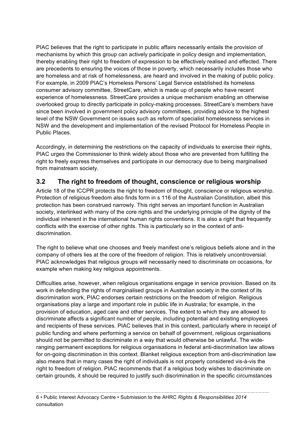PIAC believes that the right to participate in public affairs necessarily entails the provision of mechanisms by which this group can actively participate in policy design and implementation, thereby enabling their right to freedom of expression to be effectively realised and effected. There are precedents to ensuring the voices of those in poverty, which necessarily includes those who are homeless and at risk of homelessness, are heard and involved in the making of public policy. For example, in 2009 PIAC's Homeless Persons' Legal Service established its homeless consumer advisory committee, StreetCare, which is made up of people who have recent experience of homelessness. StreetCare provides a unique mechanism enabling an otherwise overlooked group to directly participate in policy-making processes. StreetCare's members have since been involved in government policy advisory committees, providing advice to the highest level of the NSW Government on issues such as reform of specialist homelessness services in NSW and the development and implementation of the revised Protocol for Homeless People in Public Places.

Accordingly, in determining the restrictions on the capacity of individuals to exercise their rights, PIAC urges the Commissioner to think widely about those who are prevented from fulfilling the right to freely express themselves and participate in our democracy due to being marginalised from mainstream society.

## **3.2 The right to freedom of thought, conscience or religious worship**

Article 18 of the ICCPR protects the right to freedom of thought, conscience or religious worship. Protection of religious freedom also finds form in s 116 of the Australian Constitution, albeit this protection has been construed narrowly. This right serves an important function in Australian society, interlinked with many of the core rights and the underlying principle of the dignity of the individual inherent in the international human rights conventions. It is also a right that frequently conflicts with the exercise of other rights. This is particularly so in the context of antidiscrimination.

The right to believe what one chooses and freely manifest one's religious beliefs alone and in the company of others lies at the core of the freedom of religion. This is relatively uncontroversial. PIAC acknowledges that religious groups will necessarily need to discriminate on occasions, for example when making key religious appointments.

Difficulties arise, however, when religious organisations engage in service provision. Based on its work in defending the rights of marginalised groups in Australian society in the context of its discrimination work, PIAC endorses certain restrictions on the freedom of religion. Religious organisations play a large and important role in public life in Australia; for example, in the provision of education, aged care and other services. The extent to which they are allowed to discriminate affects a significant number of people, including potential and existing employees and recipients of these services. PIAC believes that in this context, particularly where in receipt of public funding and where performing a service on behalf of government, religious organisations should not be permitted to discriminate in a way that would otherwise be unlawful. The wideranging permanent exceptions for religious organisations in federal anti-discrimination law allows for on-going discrimination in this context. Blanket religious exception from anti-discrimination law also means that in many cases the right of individuals is not properly considered vis-à-vis the right to freedom of religion. PIAC recommends that if a religious body wishes to discriminate on certain grounds, it should be required to justify such discrimination in the specific circumstances

6 • Public Interest Advocacy Centre • Submission to the AHRC *Rights & Responsibilities 2014* consultation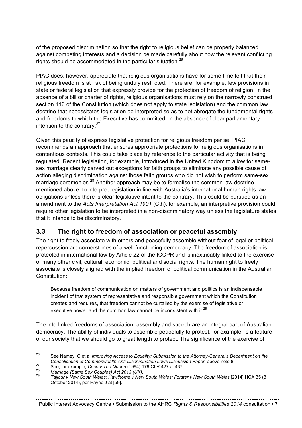of the proposed discrimination so that the right to religious belief can be properly balanced against competing interests and a decision be made carefully about how the relevant conflicting rights should be accommodated in the particular situation.<sup>26</sup>

PIAC does, however, appreciate that religious organisations have for some time felt that their religious freedom is at risk of being unduly restricted. There are, for example, few provisions in state or federal legislation that expressly provide for the protection of freedom of religion. In the absence of a bill or charter of rights, religious organisations must rely on the narrowly construed section 116 of the Constitution (which does not apply to state legislation) and the common law doctrine that necessitates legislation be interpreted so as to not abrogate the fundamental rights and freedoms to which the Executive has committed, in the absence of clear parliamentary intention to the contrary. $27$ 

Given this paucity of express legislative protection for religious freedom per se, PIAC recommends an approach that ensures appropriate protections for religious organisations in contentious contexts. This could take place by reference to the particular activity that is being regulated. Recent legislation, for example, introduced in the United Kingdom to allow for samesex marriage clearly carved out exceptions for faith groups to eliminate any possible cause of action alleging discrimination against those faith groups who did not wish to perform same-sex marriage ceremonies.<sup>28</sup> Another approach may be to formalise the common law doctrine mentioned above, to interpret legislation in line with Australia's international human rights law obligations unless there is clear legislative intent to the contrary. This could be pursued as an amendment to the *Acts Interpretation Act 1901* (Cth): for example, an interpretive provision could require other legislation to be interpreted in a non-discriminatory way unless the legislature states that it intends to be discriminatory.

#### **3.3 The right to freedom of association or peaceful assembly**

The right to freely associate with others and peacefully assemble without fear of legal or political repercussion are cornerstones of a well functioning democracy. The freedom of association is protected in international law by Article 22 of the ICCPR and is inextricably linked to the exercise of many other civil, cultural, economic, political and social rights. The human right to freely associate is closely aligned with the implied freedom of political communication in the Australian Constitution:

Because freedom of communication on matters of government and politics is an indispensable incident of that system of representative and responsible government which the Constitution creates and requires, that freedom cannot be curtailed by the exercise of legislative or executive power and the common law cannot be inconsistent with it.<sup>29</sup>

The interlinked freedoms of association, assembly and speech are an integral part of Australian democracy. The ability of individuals to assemble peacefully to protest, for example, is a feature of our society that we should go to great length to protect. The significance of the exercise of

Public Interest Advocacy Centre • Submission to the AHRC *Rights & Responsibilities 2014* consultation • 7

 <sup>26</sup> See Namey, G et al *Improving Access to Equality: Submission to the Attorney-General's Department on the* 

<sup>27&</sup>lt;br>
See, for example, Coco v The Queen (1994) 179 CLR 427 at 437.<br>
Marriage (Same Sex Couples) Act 2013 (UK).<br>
Taijour v New South Wales: Hawthorne v New South Wales: Forster v New South Wales [2014] HCA 35 (8 October 2014), per Hayne J at [59].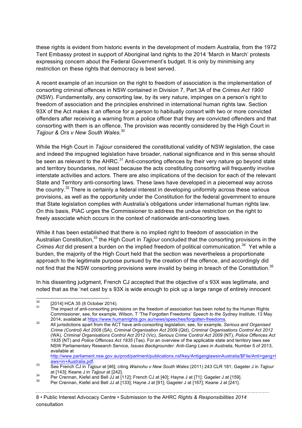these rights is evident from historic events in the development of modern Australia, from the 1972 Tent Embassy protest in support of Aboriginal land rights to the 2014 'March in March' protests expressing concern about the Federal Government's budget. It is only by minimising any restriction on these rights that democracy is best served.

A recent example of an incursion on the right to freedom of association is the implementation of consorting criminal offences in NSW contained in Division 7, Part 3A of the *Crimes Act 1900*  (NSW). Fundamentally, any consorting law, by its very nature, impinges on a person's right to freedom of association and the principles enshrined in international human rights law. Section 93X of the Act makes it an offence for a person to habitually consort with two or more convicted offenders after receiving a warning from a police officer that they are convicted offenders and that consorting with them is an offence. The provision was recently considered by the High Court in *Tajjour & Ors v New South Wales.*<sup>30</sup>

While the High Court in *Tajjour* considered the constitutional validity of NSW legislation, the case and indeed the impugned legislation have broader, national significance and in this sense should be seen as relevant to the  $AHRC<sup>31</sup>$  Anti-consorting offences by their very nature go beyond state and territory boundaries, not least because the acts constituting consorting will frequently involve interstate activities and actors. There are also implications of the decision for each of the relevant State and Territory anti-consorting laws. These laws have developed in a piecemeal way across the country.<sup>32</sup> There is certainly a federal interest in developing uniformity across these various provisions, as well as the opportunity under the Constitution for the federal government to ensure that State legislation complies with Australia's obligations under international human rights law. On this basis, PIAC urges the Commissioner to address the undue restriction on the right to freely associate which occurs in the context of nationwide anti-consorting laws.

While it has been established that there is no implied right to freedom of association in the Australian Constitution.<sup>33</sup> the High Court in *Tajjour* concluded that the consorting provisions in the *Crimes Act* did present a burden on the implied freedom of political communication.<sup>34</sup> Yet while a burden, the majority of the High Court held that the section was nevertheless a proportionate approach to the legitimate purpose pursued by the creation of the offence, and accordingly did not find that the NSW consorting provisions were invalid by being in breach of the Constitution.<sup>35</sup>

In his dissenting judgment, French CJ accepted that the objective of s 93X was legitimate, and noted that as the 'net cast by s 93X is wide enough to pick up a large range of entirely innocent

 $30$  [2014] HCA 35 (8 October 2014).<br>31 The impact of anti-consorting provisions on the freedom of association has been noted by the Human Rights Commissioner, see, for example, Wilson, T 'The Forgotten Freedoms' *Speech to the Sydney Institute,* 13 May

<sup>2014,</sup> available at https://www.humanrights.gov.au/news/speeches/forgotten-freedoms. 32 All jurisdictions apart from the ACT have anti-consorting legislation; see, for example, *Serious and Organised Crime (Control) Act 2008* (SA), *Criminal Organisation Act 2009* (Qld), *Criminal Organisations Control Act 2012*  (WA), *Criminal Organisations Control Act 2012* (Vic), *Serious Crime Control Act 2009* (NT), *Police Offences Act 1935* (NT) and *Police Offences Act 1935* (Tas). For an overview of the applicable state and territory laws see NSW Parliamentary Research Service, *Issues Backgrounder: Anti-Gang Laws in Australia*, Number 5 of 2013, available at

http://www.parliament.nsw.gov.au/prod/parlment/publications.nsf/key/AntiganglawsinAustralia/\$File/Anti+gang+l

as See French CJ in *Tajjour* at [46]; citing *Wainohu v New South Wales* (2011) 243 CLR 181; Gageler J in *Tajjour*<br>at [143]: Keane J in *Tajjour* at [242].

<sup>34</sup> Per Crennan, Kiefel and Bell JJ at [112]; French CJ at [40]; Hayne J at [71]; Gageler J at [159].<br>35 Per Crennan, Kiefel and Bell JJ at [112]; French CJ at [40]; Hayne J at [71]; Gageler J at [159].

<sup>8</sup> • Public Interest Advocacy Centre • Submission to the AHRC *Rights & Responsibilities 2014* consultation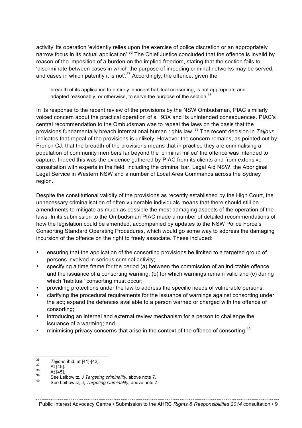activity' its operation 'evidently relies upon the exercise of police discretion or an appropriately narrow focus in its actual application'.<sup>36</sup> The Chief Justice concluded that the offence is invalid by reason of the imposition of a burden on the implied freedom, stating that the section fails to 'discriminate between cases in which the purpose of impeding criminal networks may be served, and cases in which patently it is not'.<sup>37</sup> Accordingly, the offence, given the

breadth of its application to entirely innocent habitual consorting, is not appropriate and adapted reasonably, or otherwise, to serve the purpose of the section.<sup>38</sup>

In its response to the recent review of the provisions by the NSW Ombudsman, PIAC similarly voiced concern about the practical operation of s 93X and its unintended consequences. PIAC's central recommendation to the Ombudsman was to repeal the laws on the basis that the provisions fundamentally breach international human rights law. <sup>39</sup> The recent decision in *Tajjour* indicates that repeal of the provisions is unlikely. However the concern remains, as pointed out by French CJ, that the breadth of the provisions means that in practice they are criminalising a population of community members far beyond the 'criminal milieu' the offence was intended to capture. Indeed this was the evidence gathered by PIAC from its clients and from extensive consultation with experts in the field, including the criminal bar, Legal Aid NSW, the Aboriginal Legal Service in Western NSW and a number of Local Area Commands across the Sydney region.

Despite the constitutional validity of the provisions as recently established by the High Court, the unnecessary criminalisation of often vulnerable individuals means that there should still be amendments to mitigate as much as possible the most damaging aspects of the operation of the laws. In its submission to the Ombudsman PIAC made a number of detailed recommendations of how the legislation could be amended, accompanied by updates to the NSW Police Force's Consorting Standard Operating Procedures, which would go some way to address the damaging incursion of the offence on the right to freely associate. These included:

- ensuring that the application of the consorting provisions be limited to a targeted group of persons involved in serious criminal activity;
- specifying a time frame for the period (a) between the commission of an indictable offence and the issuance of a consorting warning, (b) for which warnings remain valid and (c) during which 'habitual' consorting must occur;
- providing protections under the law to address the specific needs of vulnerable persons;
- clarifying the procedural requirements for the issuance of warnings against consorting under the act; expand the defences available to a person warned or charged with the offence of consorting;
- introducing an internal and external review mechanism for a person to challenge the issuance of a warming; and
- minimising privacy concerns that arise in the context of the offence of consorting.<sup>40</sup>

<sup>&</sup>lt;sup>36</sup> *Tajjour*, ibid, at [41]-[42].<br>
<sup>37</sup> At [45].<br>
<sup>38</sup> At [45].<br>
See Leibowitz, J *Targeting criminality*, above note 7.<br>
<sup>40</sup> See Leibowtiz, J, *Targeting Criminality*, above note 7.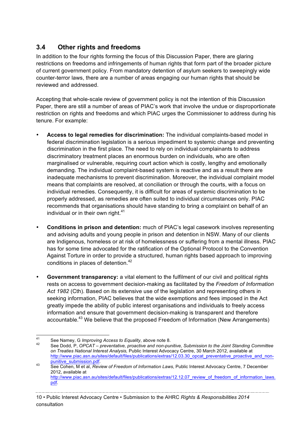### **3.4 Other rights and freedoms**

In addition to the four rights forming the focus of this Discussion Paper, there are glaring restrictions on freedoms and infringements of human rights that form part of the broader picture of current government policy. From mandatory detention of asylum seekers to sweepingly wide counter-terror laws, there are a number of areas engaging our human rights that should be reviewed and addressed.

Accepting that whole-scale review of government policy is not the intention of this Discussion Paper, there are still a number of areas of PIAC's work that involve the undue or disproportionate restriction on rights and freedoms and which PIAC urges the Commissioner to address during his tenure. For example:

- **Access to legal remedies for discrimination:** The individual complaints-based model in federal discrimination legislation is a serious impediment to systemic change and preventing discrimination in the first place. The need to rely on individual complainants to address discriminatory treatment places an enormous burden on individuals, who are often marginalised or vulnerable, requiring court action which is costly, lengthy and emotionally demanding. The individual complaint-based system is reactive and as a result there are inadequate mechanisms to prevent discrimination. Moreover, the individual complaint model means that complaints are resolved, at conciliation or through the courts, with a focus on individual remedies. Consequently, it is difficult for areas of systemic discrimination to be properly addressed, as remedies are often suited to individual circumstances only. PIAC recommends that organisations should have standing to bring a complaint on behalf of an individual or in their own right. $41$
- **Conditions in prison and detention:** much of PIAC's legal casework involves representing and advising adults and young people in prison and detention in NSW. Many of our clients are Indigenous, homeless or at risk of homelessness or suffering from a mental illness. PIAC has for some time advocated for the ratification of the Optional Protocol to the Convention Against Torture in order to provide a structured, human rights based approach to improving conditions in places of detention.<sup>42</sup>
- **Government transparency:** a vital element to the fulfilment of our civil and political rights rests on access to government decision-making as facilitated by the *Freedom of Information Act 1982* (Cth). Based on its extensive use of the legislation and representing others in seeking information, PIAC believes that the wide exemptions and fees imposed in the Act greatly impede the ability of public interest organisations and individuals to freely access information and ensure that government decision-making is transparent and therefore accountable.<sup>43</sup> We believe that the proposed Freedom of Information (New Arrangements)

<sup>41</sup> See Namey, G *Improving Access to Equality*, above note 8.<br><sup>42</sup> See Dodd, P, *OPCAT – preventative, proactive and non-punitive, Submission to the Joint Standing Committee on Treaties National Interest Analysis,* Public Interest Advocacy Centre, 30 March 2012, available at http://www.piac.asn.au/sites/default/files/publications/extras/12.03.30\_opcat\_preventative\_proactive\_and\_non-<br>punitive\_submission.pdf.

punitive\_submission.pdf. 43 See Cohen, M et al, *Review of Freedom of Information Laws*, Public Interest Advocacy Centre, 7 December 2012, available at http://www.piac.asn.au/sites/default/files/publications/extras/12.12.07 review of freedom of information laws. pdf.

<sup>10</sup> • Public Interest Advocacy Centre • Submission to the AHRC *Rights & Responsibilities 2014* consultation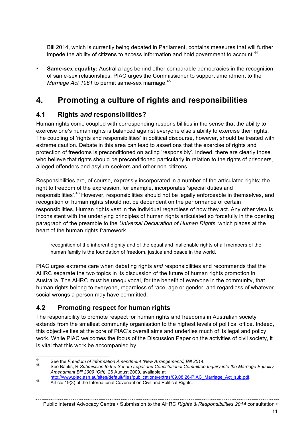Bill 2014, which is currently being debated in Parliament, contains measures that will further impede the ability of citizens to access information and hold government to account.<sup>44</sup>

**Same-sex equality:** Australia lags behind other comparable democracies in the recognition of same-sex relationships. PIAC urges the Commissioner to support amendment to the Marriage Act 1961 to permit same-sex marriage.<sup>45</sup>

# **4. Promoting a culture of rights and responsibilities**

### **4.1 Rights** *and* **responsibilities?**

Human rights come coupled with corresponding responsibilities in the sense that the ability to exercise one's human rights is balanced against everyone else's ability to exercise their rights. The coupling of 'rights and responsibilities' in political discourse, however, should be treated with extreme caution. Debate in this area can lead to assertions that the exercise of rights and protection of freedoms is preconditioned on acting 'responsibly'. Indeed, there are clearly those who believe that rights should be preconditioned particularly in relation to the rights of prisoners, alleged offenders and asylum-seekers and other non-citizens.

Responsibilities are, of course, expressly incorporated in a number of the articulated rights; the right to freedom of the expression, for example, incorporates 'special duties and responsibilities'.<sup>46</sup> However, responsibilities should not be legally enforceable in themselves, and recognition of human rights should not be dependent on the performance of certain responsibilities. Human rights vest in the individual regardless of how they act. Any other view is inconsistent with the underlying principles of human rights articulated so forcefully in the opening paragraph of the preamble to the *Universal Declaration of Human Rights*, which places at the heart of the human rights framework

recognition of the inherent dignity and of the equal and inalienable rights of all members of the human family is the foundation of freedom, justice and peace in the world.

PIAC urges extreme care when debating rights *and* responsibilities and recommends that the AHRC separate the two topics in its discussion of the future of human rights promotion in Australia. The AHRC must be unequivocal, for the benefit of everyone in the community, that human rights belong to everyone, regardless of race, age or gender, and regardless of whatever social wrongs a person may have committed.

## **4.2 Promoting respect for human rights**

The responsibility to promote respect for human rights and freedoms in Australian society extends from the smallest community organisation to the highest levels of political office. Indeed, this objective lies at the core of PIAC's overall aims and underlies much of its legal and policy work. While PIAC welcomes the focus of the Discussion Paper on the activities of civil society, it is vital that this work be accompanied by

Public Interest Advocacy Centre • Submission to the AHRC *Rights & Responsibilities 2014* consultation •

<sup>44</sup> See the *Freedom of Information Amendment (New Arrangements) Bill 2014*. 45 See Banks, R *Submission to the Senate Legal and Constitutional Committee Inquiry into the Marriage Equality Amendment Bill 2009 (Cth)*, 26 August 2009, available at

http://www.piac.asn.au/sites/default/files/publications/extras/09.08.26-PIAC\_Marriage\_Act\_sub.pdf.<br>Article 19(3) of the International Covenant on Civil and Political Rights.